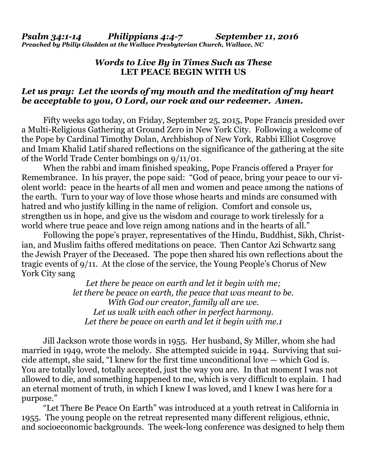## *Words to Live By in Times Such as These*  **LET PEACE BEGIN WITH US**

## *Let us pray: Let the words of my mouth and the meditation of my heart be acceptable to you, O Lord, our rock and our redeemer. Amen.*

Fifty weeks ago today, on Friday, September 25, 2015, Pope Francis presided over a Multi-Religious Gathering at Ground Zero in New York City. Following a welcome of the Pope by Cardinal Timothy Dolan, Archbishop of New York, Rabbi Elliot Cosgrove and Imam Khalid Latif shared reflections on the significance of the gathering at the site of the World Trade Center bombings on 9/11/01.

 When the rabbi and imam finished speaking, Pope Francis offered a Prayer for Remembrance. In his prayer, the pope said: "God of peace, bring your peace to our violent world: peace in the hearts of all men and women and peace among the nations of the earth. Turn to your way of love those whose hearts and minds are consumed with hatred and who justify killing in the name of religion. Comfort and console us, strengthen us in hope, and give us the wisdom and courage to work tirelessly for a world where true peace and love reign among nations and in the hearts of all."

 Following the pope's prayer, representatives of the Hindu, Buddhist, Sikh, Christian, and Muslim faiths offered meditations on peace. Then Cantor Azi Schwartz sang the Jewish Prayer of the Deceased. The pope then shared his own reflections about the tragic events of 9/11. At the close of the service, the Young People's Chorus of New York City sang

> *Let there be peace on earth and let it begin with me; let there be peace on earth, the peace that was meant to be. With God our creator, family all are we. Let us walk with each other in perfect harmony. Let there be peace on earth and let it begin with me.1*

Jill Jackson wrote those words in 1955. Her husband, Sy Miller, whom she had married in 1949, wrote the melody. She attempted suicide in 1944. Surviving that suicide attempt, she said, "I knew for the first time unconditional love — which God is. You are totally loved, totally accepted, just the way you are. In that moment I was not allowed to die, and something happened to me, which is very difficult to explain. I had an eternal moment of truth, in which I knew I was loved, and I knew I was here for a purpose."

 "Let There Be Peace On Earth" was introduced at a youth retreat in California in 1955. The young people on the retreat represented many different religious, ethnic, and socioeconomic backgrounds. The week-long conference was designed to help them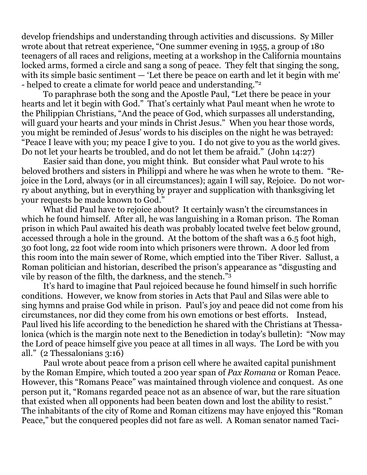develop friendships and understanding through activities and discussions. Sy Miller wrote about that retreat experience, "One summer evening in 1955, a group of 180 teenagers of all races and religions, meeting at a workshop in the California mountains locked arms, formed a circle and sang a song of peace. They felt that singing the song, with its simple basic sentiment — 'Let there be peace on earth and let it begin with me' - helped to create a climate for world peace and understanding."<sup>2</sup>

 To paraphrase both the song and the Apostle Paul, "Let there be peace in your hearts and let it begin with God." That's certainly what Paul meant when he wrote to the Philippian Christians, "And the peace of God, which surpasses all understanding, will guard your hearts and your minds in Christ Jesus." When you hear those words, you might be reminded of Jesus' words to his disciples on the night he was betrayed: "Peace I leave with you; my peace I give to you. I do not give to you as the world gives. Do not let your hearts be troubled, and do not let them be afraid." (John 14:27)

 Easier said than done, you might think. But consider what Paul wrote to his beloved brothers and sisters in Philippi and where he was when he wrote to them. "Rejoice in the Lord, always (or in all circumstances); again I will say, Rejoice. Do not worry about anything, but in everything by prayer and supplication with thanksgiving let your requests be made known to God."

 What did Paul have to rejoice about? It certainly wasn't the circumstances in which he found himself. After all, he was languishing in a Roman prison. The Roman prison in which Paul awaited his death was probably located twelve feet below ground, accessed through a hole in the ground. At the bottom of the shaft was a 6.5 foot high, 30 foot long, 22 foot wide room into which prisoners were thrown. A door led from this room into the main sewer of Rome, which emptied into the Tiber River. Sallust, a Roman politician and historian, described the prison's appearance as "disgusting and vile by reason of the filth, the darkness, and the stench."3

 It's hard to imagine that Paul rejoiced because he found himself in such horrific conditions. However, we know from stories in Acts that Paul and Silas were able to sing hymns and praise God while in prison. Paul's joy and peace did not come from his circumstances, nor did they come from his own emotions or best efforts. Instead, Paul lived his life according to the benediction he shared with the Christians at Thessalonica (which is the margin note next to the Benediction in today's bulletin): "Now may the Lord of peace himself give you peace at all times in all ways. The Lord be with you all." (2 Thessalonians 3:16)

 Paul wrote about peace from a prison cell where he awaited capital punishment by the Roman Empire, which touted a 200 year span of *Pax Romana* or Roman Peace. However, this "Romans Peace" was maintained through violence and conquest. As one person put it, "Romans regarded peace not as an absence of war, but the rare situation that existed when all opponents had been beaten down and lost the ability to resist." The inhabitants of the city of Rome and Roman citizens may have enjoyed this "Roman Peace," but the conquered peoples did not fare as well. A Roman senator named Taci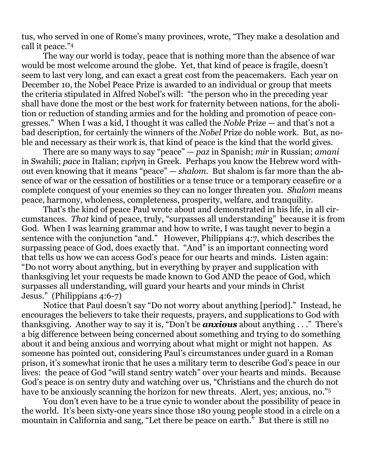tus, who served in one of Rome's many provinces, wrote, "They make a desolation and call it peace."4

 The way our world is today, peace that is nothing more than the absence of war would be most welcome around the globe. Yet, that kind of peace is fragile, doesn't seem to last very long, and can exact a great cost from the peacemakers. Each year on December 10, the Nobel Peace Prize is awarded to an individual or group that meets the criteria stipulated in Alfred Nobel's will: "the person who in the preceding year shall have done the most or the best work for fraternity between nations, for the abolition or reduction of standing armies and for the holding and promotion of peace congresses." When I was a kid, I thought it was called the *Noble* Prize — and that's not a bad description, for certainly the winners of the *Nobel* Prize do noble work. But, as noble and necessary as their work is, that kind of peace is the kind that the world gives.

 There are so many ways to say "peace" — *paz* in Spanish; *mir* in Russian; *amani* in Swahili; *pace* in Italian; ειρήνη in Greek. Perhaps you know the Hebrew word without even knowing that it means "peace" — *shalom*. But shalom is far more than the absence of war or the cessation of hostilities or a tense truce or a temporary ceasefire or a complete conquest of your enemies so they can no longer threaten you. *Shalom* means peace, harmony, wholeness, completeness, prosperity, welfare, and tranquility.

 That's the kind of peace Paul wrote about and demonstrated in his life, in all circumstances. *That* kind of peace, truly, "surpasses all understanding" because it is from God. When I was learning grammar and how to write, I was taught never to begin a sentence with the conjunction "and." However, Philippians 4:7, which describes the surpassing peace of God, does exactly that. "And" is an important connecting word that tells us how we can access God's peace for our hearts and minds. Listen again: "Do not worry about anything, but in everything by prayer and supplication with thanksgiving let your requests be made known to God AND the peace of God, which surpasses all understanding, will guard your hearts and your minds in Christ Jesus." (Philippians 4:6-7)

 Notice that Paul doesn't say "Do not worry about anything [period]." Instead, he encourages the believers to take their requests, prayers, and supplications to God with thanksgiving. Another way to say it is, "Don't be *anxious* about anything . . ." There's a big difference between being concerned about something and trying to do something about it and being anxious and worrying about what might or might not happen. As someone has pointed out, considering Paul's circumstances under guard in a Roman prison, it's somewhat ironic that he uses a military term to describe God's peace in our lives: the peace of God "will stand sentry watch" over your hearts and minds. Because God's peace is on sentry duty and watching over us, "Christians and the church do not have to be anxiously scanning the horizon for new threats. Alert, yes; anxious, no."5

 You don't even have to be a true cynic to wonder about the possibility of peace in the world. It's been sixty-one years since those 180 young people stood in a circle on a mountain in California and sang, "Let there be peace on earth." But there is still no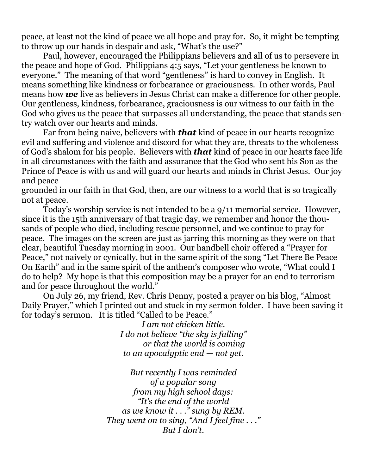peace, at least not the kind of peace we all hope and pray for. So, it might be tempting to throw up our hands in despair and ask, "What's the use?"

 Paul, however, encouraged the Philippians believers and all of us to persevere in the peace and hope of God. Philippians 4:5 says, "Let your gentleness be known to everyone." The meaning of that word "gentleness" is hard to convey in English. It means something like kindness or forbearance or graciousness. In other words, Paul means how *we* live as believers in Jesus Christ can make a difference for other people. Our gentleness, kindness, forbearance, graciousness is our witness to our faith in the God who gives us the peace that surpasses all understanding, the peace that stands sentry watch over our hearts and minds.

 Far from being naive, believers with *that* kind of peace in our hearts recognize evil and suffering and violence and discord for what they are, threats to the wholeness of God's shalom for his people. Believers with *that* kind of peace in our hearts face life in all circumstances with the faith and assurance that the God who sent his Son as the Prince of Peace is with us and will guard our hearts and minds in Christ Jesus. Our joy and peace

grounded in our faith in that God, then, are our witness to a world that is so tragically not at peace.

 Today's worship service is not intended to be a 9/11 memorial service. However, since it is the 15th anniversary of that tragic day, we remember and honor the thousands of people who died, including rescue personnel, and we continue to pray for peace. The images on the screen are just as jarring this morning as they were on that clear, beautiful Tuesday morning in 2001. Our handbell choir offered a "Prayer for Peace," not naively or cynically, but in the same spirit of the song "Let There Be Peace On Earth" and in the same spirit of the anthem's composer who wrote, "What could I do to help? My hope is that this composition may be a prayer for an end to terrorism and for peace throughout the world."

 On July 26, my friend, Rev. Chris Denny, posted a prayer on his blog, "Almost Daily Prayer," which I printed out and stuck in my sermon folder. I have been saving it for today's sermon. It is titled "Called to be Peace."

*I am not chicken little. I do not believe "the sky is falling" or that the world is coming to an apocalyptic end — not yet.*

*But recently I was reminded of a popular song from my high school days: "It's the end of the world as we know it . . ." sung by REM. They went on to sing, "And I feel fine . . ." But I don't.*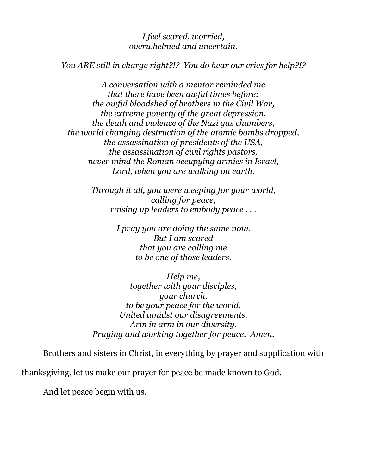*I feel scared, worried, overwhelmed and uncertain.*

*You ARE still in charge right?!? You do hear our cries for help?!?*

*A conversation with a mentor reminded me that there have been awful times before: the awful bloodshed of brothers in the Civil War, the extreme poverty of the great depression, the death and violence of the Nazi gas chambers, the world changing destruction of the atomic bombs dropped, the assassination of presidents of the USA, the assassination of civil rights pastors, never mind the Roman occupying armies in Israel, Lord, when you are walking on earth.*

> *Through it all, you were weeping for your world, calling for peace, raising up leaders to embody peace . . .*

> > *I pray you are doing the same now. But I am scared that you are calling me to be one of those leaders.*

*Help me, together with your disciples, your church, to be your peace for the world. United amidst our disagreements. Arm in arm in our diversity. Praying and working together for peace. Amen.*

Brothers and sisters in Christ, in everything by prayer and supplication with

thanksgiving, let us make our prayer for peace be made known to God.

And let peace begin with us.